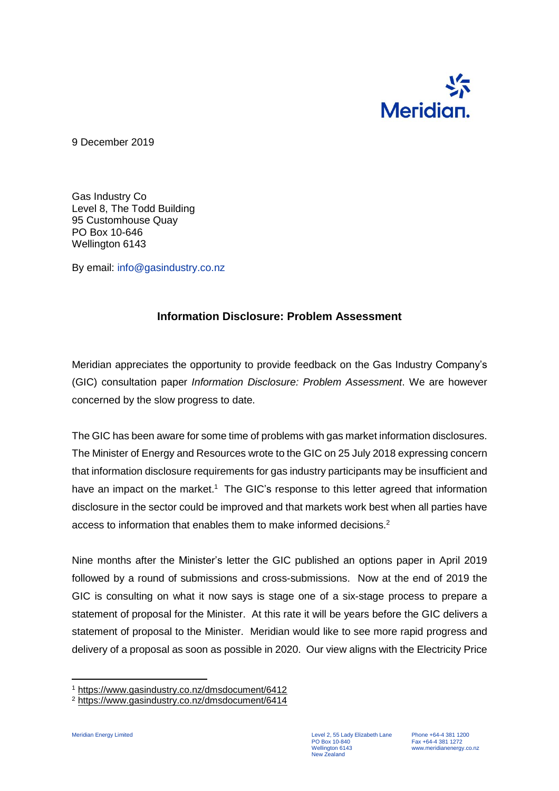

9 December 2019

Gas Industry Co Level 8, The Todd Building 95 Customhouse Quay PO Box 10-646 Wellington 6143

By email: info@gasindustry.co.nz

## **Information Disclosure: Problem Assessment**

Meridian appreciates the opportunity to provide feedback on the Gas Industry Company's (GIC) consultation paper *Information Disclosure: Problem Assessment*. We are however concerned by the slow progress to date.

The GIC has been aware for some time of problems with gas market information disclosures. The Minister of Energy and Resources wrote to the GIC on 25 July 2018 expressing concern that information disclosure requirements for gas industry participants may be insufficient and have an impact on the market.<sup>1</sup> The GIC's response to this letter agreed that information disclosure in the sector could be improved and that markets work best when all parties have access to information that enables them to make informed decisions.<sup>2</sup>

Nine months after the Minister's letter the GIC published an options paper in April 2019 followed by a round of submissions and cross-submissions. Now at the end of 2019 the GIC is consulting on what it now says is stage one of a six-stage process to prepare a statement of proposal for the Minister. At this rate it will be years before the GIC delivers a statement of proposal to the Minister. Meridian would like to see more rapid progress and delivery of a proposal as soon as possible in 2020. Our view aligns with the Electricity Price

 $\overline{a}$ 

<sup>1</sup> <https://www.gasindustry.co.nz/dmsdocument/6412>

<sup>2</sup> <https://www.gasindustry.co.nz/dmsdocument/6414>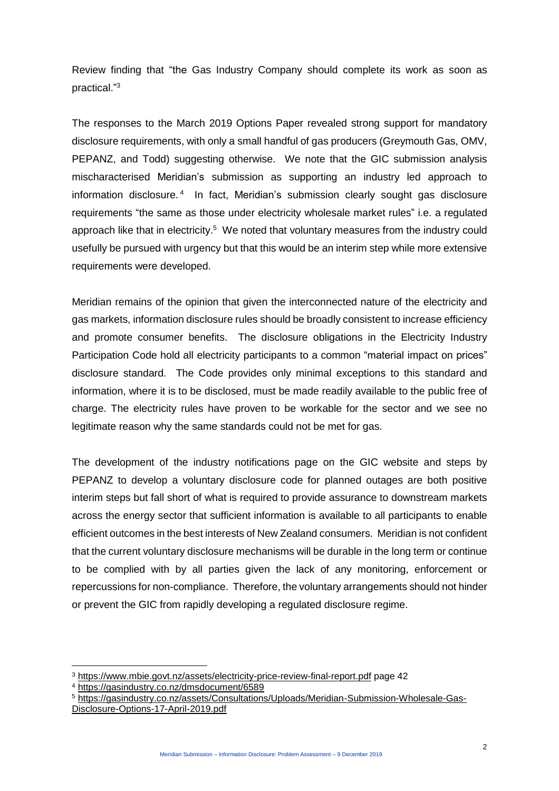Review finding that "the Gas Industry Company should complete its work as soon as practical."<sup>3</sup>

The responses to the March 2019 Options Paper revealed strong support for mandatory disclosure requirements, with only a small handful of gas producers (Greymouth Gas, OMV, PEPANZ, and Todd) suggesting otherwise. We note that the GIC submission analysis mischaracterised Meridian's submission as supporting an industry led approach to information disclosure.<sup>4</sup> In fact, Meridian's submission clearly sought gas disclosure requirements "the same as those under electricity wholesale market rules" i.e. a regulated approach like that in electricity.<sup>5</sup> We noted that voluntary measures from the industry could usefully be pursued with urgency but that this would be an interim step while more extensive requirements were developed.

Meridian remains of the opinion that given the interconnected nature of the electricity and gas markets, information disclosure rules should be broadly consistent to increase efficiency and promote consumer benefits. The disclosure obligations in the Electricity Industry Participation Code hold all electricity participants to a common "material impact on prices" disclosure standard. The Code provides only minimal exceptions to this standard and information, where it is to be disclosed, must be made readily available to the public free of charge. The electricity rules have proven to be workable for the sector and we see no legitimate reason why the same standards could not be met for gas.

The development of the industry notifications page on the GIC website and steps by PEPANZ to develop a voluntary disclosure code for planned outages are both positive interim steps but fall short of what is required to provide assurance to downstream markets across the energy sector that sufficient information is available to all participants to enable efficient outcomes in the best interests of New Zealand consumers. Meridian is not confident that the current voluntary disclosure mechanisms will be durable in the long term or continue to be complied with by all parties given the lack of any monitoring, enforcement or repercussions for non-compliance. Therefore, the voluntary arrangements should not hinder or prevent the GIC from rapidly developing a regulated disclosure regime.

 $\overline{a}$ 

<sup>3</sup> <https://www.mbie.govt.nz/assets/electricity-price-review-final-report.pdf> page 42

<sup>4</sup> <https://gasindustry.co.nz/dmsdocument/6589>

<sup>5</sup> [https://gasindustry.co.nz/assets/Consultations/Uploads/Meridian-Submission-Wholesale-Gas-](https://gasindustry.co.nz/assets/Consultations/Uploads/Meridian-Submission-Wholesale-Gas-Disclosure-Options-17-April-2019.pdf)[Disclosure-Options-17-April-2019.pdf](https://gasindustry.co.nz/assets/Consultations/Uploads/Meridian-Submission-Wholesale-Gas-Disclosure-Options-17-April-2019.pdf)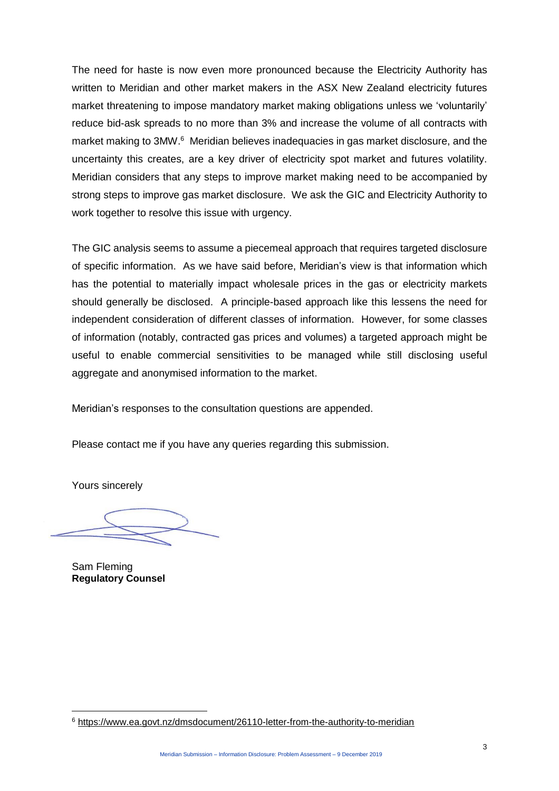The need for haste is now even more pronounced because the Electricity Authority has written to Meridian and other market makers in the ASX New Zealand electricity futures market threatening to impose mandatory market making obligations unless we 'voluntarily' reduce bid-ask spreads to no more than 3% and increase the volume of all contracts with market making to 3MW.<sup>6</sup> Meridian believes inadequacies in gas market disclosure, and the uncertainty this creates, are a key driver of electricity spot market and futures volatility. Meridian considers that any steps to improve market making need to be accompanied by strong steps to improve gas market disclosure. We ask the GIC and Electricity Authority to work together to resolve this issue with urgency.

The GIC analysis seems to assume a piecemeal approach that requires targeted disclosure of specific information. As we have said before, Meridian's view is that information which has the potential to materially impact wholesale prices in the gas or electricity markets should generally be disclosed. A principle-based approach like this lessens the need for independent consideration of different classes of information. However, for some classes of information (notably, contracted gas prices and volumes) a targeted approach might be useful to enable commercial sensitivities to be managed while still disclosing useful aggregate and anonymised information to the market.

Meridian's responses to the consultation questions are appended.

Please contact me if you have any queries regarding this submission.

Yours sincerely

Sam Fleming **Regulatory Counsel**

 $\overline{a}$ 

<sup>6</sup> <https://www.ea.govt.nz/dmsdocument/26110-letter-from-the-authority-to-meridian>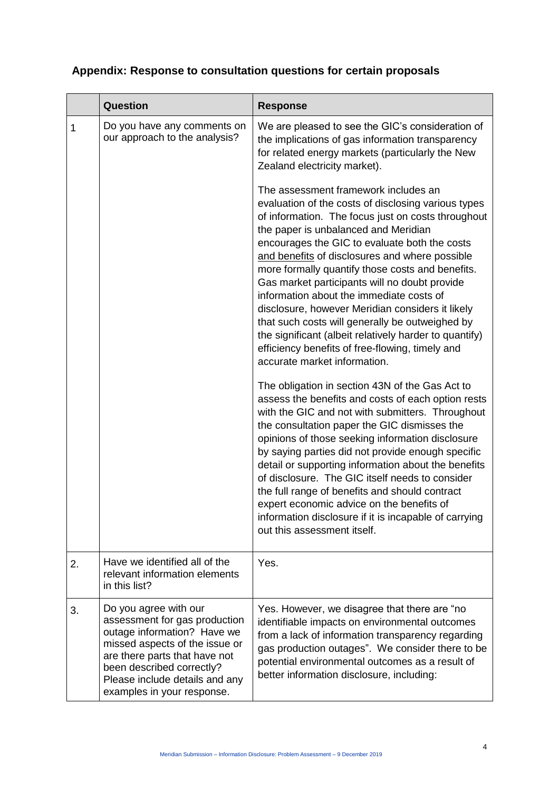## **Appendix: Response to consultation questions for certain proposals**

|    | Question                                                                                                                                                                                                                                              | <b>Response</b>                                                                                                                                                                                                                                                                                                                                                                                                                                                                                                                                                                                                                                                                                                                                                                                                                                                                                                                                                                                                                                                                                                                                                                                                                                                                                                                                                                                                                                                                                                      |
|----|-------------------------------------------------------------------------------------------------------------------------------------------------------------------------------------------------------------------------------------------------------|----------------------------------------------------------------------------------------------------------------------------------------------------------------------------------------------------------------------------------------------------------------------------------------------------------------------------------------------------------------------------------------------------------------------------------------------------------------------------------------------------------------------------------------------------------------------------------------------------------------------------------------------------------------------------------------------------------------------------------------------------------------------------------------------------------------------------------------------------------------------------------------------------------------------------------------------------------------------------------------------------------------------------------------------------------------------------------------------------------------------------------------------------------------------------------------------------------------------------------------------------------------------------------------------------------------------------------------------------------------------------------------------------------------------------------------------------------------------------------------------------------------------|
| 1  | Do you have any comments on<br>our approach to the analysis?                                                                                                                                                                                          | We are pleased to see the GIC's consideration of<br>the implications of gas information transparency<br>for related energy markets (particularly the New<br>Zealand electricity market).<br>The assessment framework includes an<br>evaluation of the costs of disclosing various types<br>of information. The focus just on costs throughout<br>the paper is unbalanced and Meridian<br>encourages the GIC to evaluate both the costs<br>and benefits of disclosures and where possible<br>more formally quantify those costs and benefits.<br>Gas market participants will no doubt provide<br>information about the immediate costs of<br>disclosure, however Meridian considers it likely<br>that such costs will generally be outweighed by<br>the significant (albeit relatively harder to quantify)<br>efficiency benefits of free-flowing, timely and<br>accurate market information.<br>The obligation in section 43N of the Gas Act to<br>assess the benefits and costs of each option rests<br>with the GIC and not with submitters. Throughout<br>the consultation paper the GIC dismisses the<br>opinions of those seeking information disclosure<br>by saying parties did not provide enough specific<br>detail or supporting information about the benefits<br>of disclosure. The GIC itself needs to consider<br>the full range of benefits and should contract<br>expert economic advice on the benefits of<br>information disclosure if it is incapable of carrying<br>out this assessment itself. |
|    |                                                                                                                                                                                                                                                       |                                                                                                                                                                                                                                                                                                                                                                                                                                                                                                                                                                                                                                                                                                                                                                                                                                                                                                                                                                                                                                                                                                                                                                                                                                                                                                                                                                                                                                                                                                                      |
| 2. | Have we identified all of the<br>relevant information elements<br>in this list?                                                                                                                                                                       | Yes.                                                                                                                                                                                                                                                                                                                                                                                                                                                                                                                                                                                                                                                                                                                                                                                                                                                                                                                                                                                                                                                                                                                                                                                                                                                                                                                                                                                                                                                                                                                 |
| 3. | Do you agree with our<br>assessment for gas production<br>outage information? Have we<br>missed aspects of the issue or<br>are there parts that have not<br>been described correctly?<br>Please include details and any<br>examples in your response. | Yes. However, we disagree that there are "no<br>identifiable impacts on environmental outcomes<br>from a lack of information transparency regarding<br>gas production outages". We consider there to be<br>potential environmental outcomes as a result of<br>better information disclosure, including:                                                                                                                                                                                                                                                                                                                                                                                                                                                                                                                                                                                                                                                                                                                                                                                                                                                                                                                                                                                                                                                                                                                                                                                                              |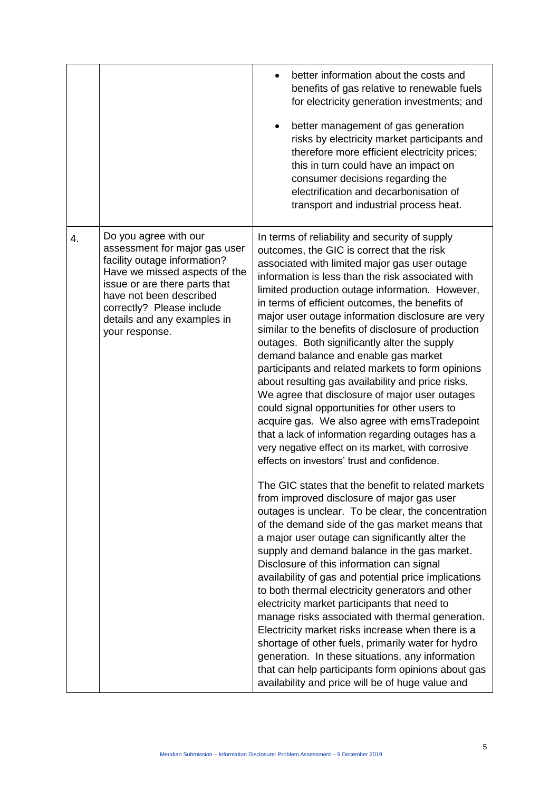|    |                                                                                                                                                                                                                                                                   | better information about the costs and<br>benefits of gas relative to renewable fuels<br>for electricity generation investments; and<br>better management of gas generation<br>risks by electricity market participants and<br>therefore more efficient electricity prices;<br>this in turn could have an impact on<br>consumer decisions regarding the<br>electrification and decarbonisation of<br>transport and industrial process heat.                                                                                                                                                                                                                                                                                                                                                                                                                                                                                           |
|----|-------------------------------------------------------------------------------------------------------------------------------------------------------------------------------------------------------------------------------------------------------------------|---------------------------------------------------------------------------------------------------------------------------------------------------------------------------------------------------------------------------------------------------------------------------------------------------------------------------------------------------------------------------------------------------------------------------------------------------------------------------------------------------------------------------------------------------------------------------------------------------------------------------------------------------------------------------------------------------------------------------------------------------------------------------------------------------------------------------------------------------------------------------------------------------------------------------------------|
| 4. | Do you agree with our<br>assessment for major gas user<br>facility outage information?<br>Have we missed aspects of the<br>issue or are there parts that<br>have not been described<br>correctly? Please include<br>details and any examples in<br>your response. | In terms of reliability and security of supply<br>outcomes, the GIC is correct that the risk<br>associated with limited major gas user outage<br>information is less than the risk associated with<br>limited production outage information. However,<br>in terms of efficient outcomes, the benefits of<br>major user outage information disclosure are very<br>similar to the benefits of disclosure of production<br>outages. Both significantly alter the supply<br>demand balance and enable gas market<br>participants and related markets to form opinions<br>about resulting gas availability and price risks.<br>We agree that disclosure of major user outages<br>could signal opportunities for other users to<br>acquire gas. We also agree with emsTradepoint<br>that a lack of information regarding outages has a<br>very negative effect on its market, with corrosive<br>effects on investors' trust and confidence. |
|    |                                                                                                                                                                                                                                                                   | The GIC states that the benefit to related markets<br>from improved disclosure of major gas user<br>outages is unclear. To be clear, the concentration<br>of the demand side of the gas market means that<br>a major user outage can significantly alter the<br>supply and demand balance in the gas market.<br>Disclosure of this information can signal<br>availability of gas and potential price implications<br>to both thermal electricity generators and other<br>electricity market participants that need to<br>manage risks associated with thermal generation.<br>Electricity market risks increase when there is a<br>shortage of other fuels, primarily water for hydro<br>generation. In these situations, any information<br>that can help participants form opinions about gas<br>availability and price will be of huge value and                                                                                    |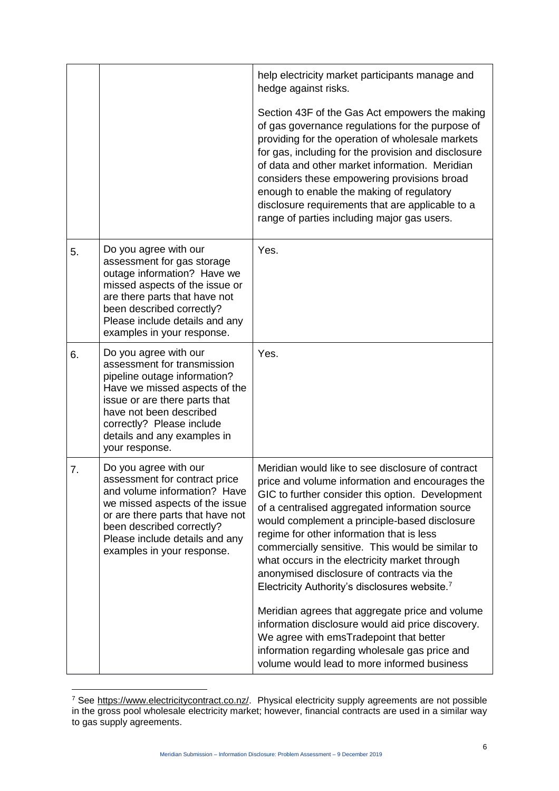|    |                                                                                                                                                                                                                                                                 | help electricity market participants manage and<br>hedge against risks.                                                                                                                                                                                                                                                                                                                                                                                                                                                                                                                                                                                                                                                                                                     |
|----|-----------------------------------------------------------------------------------------------------------------------------------------------------------------------------------------------------------------------------------------------------------------|-----------------------------------------------------------------------------------------------------------------------------------------------------------------------------------------------------------------------------------------------------------------------------------------------------------------------------------------------------------------------------------------------------------------------------------------------------------------------------------------------------------------------------------------------------------------------------------------------------------------------------------------------------------------------------------------------------------------------------------------------------------------------------|
|    |                                                                                                                                                                                                                                                                 | Section 43F of the Gas Act empowers the making<br>of gas governance regulations for the purpose of<br>providing for the operation of wholesale markets<br>for gas, including for the provision and disclosure<br>of data and other market information. Meridian<br>considers these empowering provisions broad<br>enough to enable the making of regulatory<br>disclosure requirements that are applicable to a<br>range of parties including major gas users.                                                                                                                                                                                                                                                                                                              |
| 5. | Do you agree with our<br>assessment for gas storage<br>outage information? Have we<br>missed aspects of the issue or<br>are there parts that have not<br>been described correctly?<br>Please include details and any<br>examples in your response.              | Yes.                                                                                                                                                                                                                                                                                                                                                                                                                                                                                                                                                                                                                                                                                                                                                                        |
| 6. | Do you agree with our<br>assessment for transmission<br>pipeline outage information?<br>Have we missed aspects of the<br>issue or are there parts that<br>have not been described<br>correctly? Please include<br>details and any examples in<br>your response. | Yes.                                                                                                                                                                                                                                                                                                                                                                                                                                                                                                                                                                                                                                                                                                                                                                        |
| 7. | Do you agree with our<br>assessment for contract price<br>and volume information? Have<br>we missed aspects of the issue<br>or are there parts that have not<br>been described correctly?<br>Please include details and any<br>examples in your response.       | Meridian would like to see disclosure of contract<br>price and volume information and encourages the<br>GIC to further consider this option. Development<br>of a centralised aggregated information source<br>would complement a principle-based disclosure<br>regime for other information that is less<br>commercially sensitive. This would be similar to<br>what occurs in the electricity market through<br>anonymised disclosure of contracts via the<br>Electricity Authority's disclosures website. <sup>7</sup><br>Meridian agrees that aggregate price and volume<br>information disclosure would aid price discovery.<br>We agree with emsTradepoint that better<br>information regarding wholesale gas price and<br>volume would lead to more informed business |

 $\overline{a}$ <sup>7</sup> See [https://www.electricitycontract.co.nz/.](https://www.electricitycontract.co.nz/) Physical electricity supply agreements are not possible in the gross pool wholesale electricity market; however, financial contracts are used in a similar way to gas supply agreements.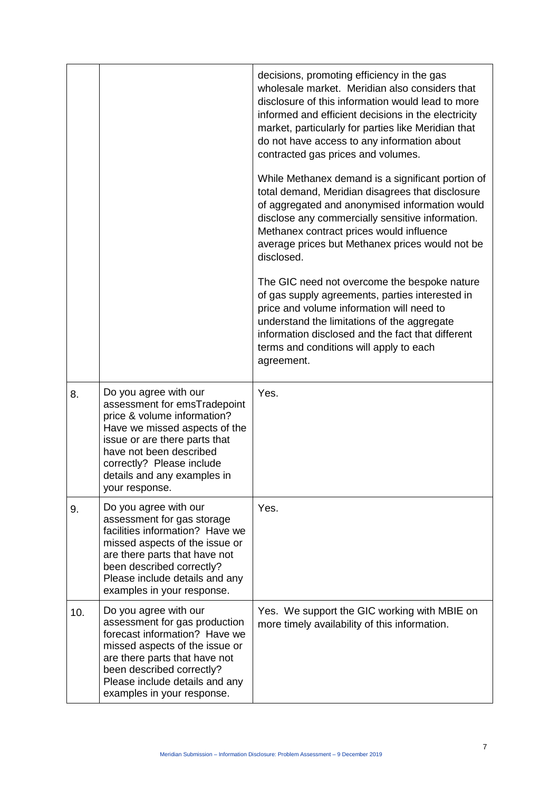|     |                                                                                                                                                                                                                                                                 | decisions, promoting efficiency in the gas<br>wholesale market. Meridian also considers that<br>disclosure of this information would lead to more<br>informed and efficient decisions in the electricity<br>market, particularly for parties like Meridian that<br>do not have access to any information about<br>contracted gas prices and volumes. |
|-----|-----------------------------------------------------------------------------------------------------------------------------------------------------------------------------------------------------------------------------------------------------------------|------------------------------------------------------------------------------------------------------------------------------------------------------------------------------------------------------------------------------------------------------------------------------------------------------------------------------------------------------|
|     |                                                                                                                                                                                                                                                                 | While Methanex demand is a significant portion of<br>total demand, Meridian disagrees that disclosure<br>of aggregated and anonymised information would<br>disclose any commercially sensitive information.<br>Methanex contract prices would influence<br>average prices but Methanex prices would not be<br>disclosed.                             |
|     |                                                                                                                                                                                                                                                                 | The GIC need not overcome the bespoke nature<br>of gas supply agreements, parties interested in<br>price and volume information will need to<br>understand the limitations of the aggregate<br>information disclosed and the fact that different<br>terms and conditions will apply to each<br>agreement.                                            |
| 8.  | Do you agree with our<br>assessment for emsTradepoint<br>price & volume information?<br>Have we missed aspects of the<br>issue or are there parts that<br>have not been described<br>correctly? Please include<br>details and any examples in<br>your response. | Yes.                                                                                                                                                                                                                                                                                                                                                 |
| 9.  | Do you agree with our<br>assessment for gas storage<br>facilities information? Have we<br>missed aspects of the issue or<br>are there parts that have not<br>been described correctly?<br>Please include details and any<br>examples in your response.          | Yes.                                                                                                                                                                                                                                                                                                                                                 |
| 10. | Do you agree with our<br>assessment for gas production<br>forecast information? Have we<br>missed aspects of the issue or<br>are there parts that have not<br>been described correctly?<br>Please include details and any<br>examples in your response.         | Yes. We support the GIC working with MBIE on<br>more timely availability of this information.                                                                                                                                                                                                                                                        |